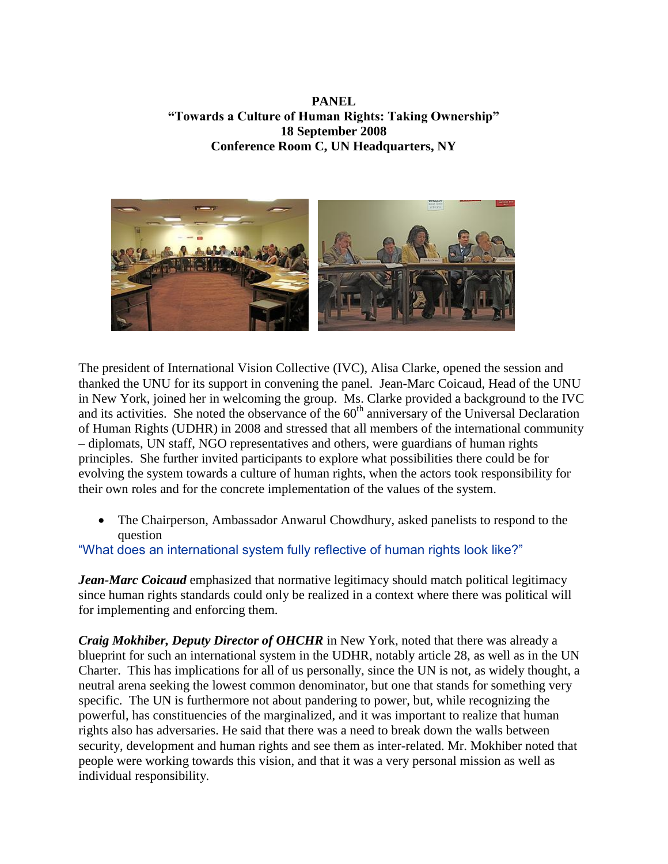**PANEL "Towards a Culture of Human Rights: Taking Ownership" 18 September 2008 Conference Room C, UN Headquarters, NY**



The president of International Vision Collective (IVC), Alisa Clarke, opened the session and thanked the UNU for its support in convening the panel. Jean-Marc Coicaud, Head of the UNU in New York, joined her in welcoming the group. Ms. Clarke provided a background to the IVC and its activities. She noted the observance of the  $60<sup>th</sup>$  anniversary of the Universal Declaration of Human Rights (UDHR) in 2008 and stressed that all members of the international community – diplomats, UN staff, NGO representatives and others, were guardians of human rights principles. She further invited participants to explore what possibilities there could be for evolving the system towards a culture of human rights, when the actors took responsibility for their own roles and for the concrete implementation of the values of the system.

 The Chairperson, Ambassador Anwarul Chowdhury, asked panelists to respond to the question

## "What does an international system fully reflective of human rights look like?"

*Jean-Marc Coicaud* emphasized that normative legitimacy should match political legitimacy since human rights standards could only be realized in a context where there was political will for implementing and enforcing them.

*Craig Mokhiber, Deputy Director of OHCHR* in New York, noted that there was already a blueprint for such an international system in the UDHR, notably article 28, as well as in the UN Charter. This has implications for all of us personally, since the UN is not, as widely thought, a neutral arena seeking the lowest common denominator, but one that stands for something very specific. The UN is furthermore not about pandering to power, but, while recognizing the powerful, has constituencies of the marginalized, and it was important to realize that human rights also has adversaries. He said that there was a need to break down the walls between security, development and human rights and see them as inter-related. Mr. Mokhiber noted that people were working towards this vision, and that it was a very personal mission as well as individual responsibility.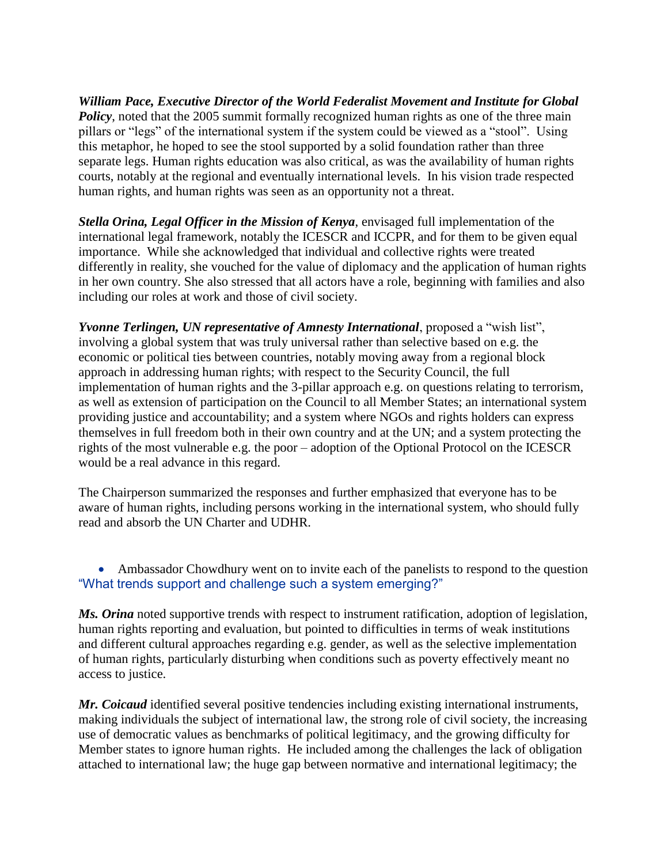*William Pace, Executive Director of the World Federalist Movement and Institute for Global Policy*, noted that the 2005 summit formally recognized human rights as one of the three main pillars or "legs" of the international system if the system could be viewed as a "stool". Using this metaphor, he hoped to see the stool supported by a solid foundation rather than three separate legs. Human rights education was also critical, as was the availability of human rights courts, notably at the regional and eventually international levels. In his vision trade respected human rights, and human rights was seen as an opportunity not a threat.

*Stella Orina, Legal Officer in the Mission of Kenya*, envisaged full implementation of the international legal framework, notably the ICESCR and ICCPR, and for them to be given equal importance. While she acknowledged that individual and collective rights were treated differently in reality, she vouched for the value of diplomacy and the application of human rights in her own country. She also stressed that all actors have a role, beginning with families and also including our roles at work and those of civil society.

*Yvonne Terlingen, UN representative of Amnesty International*, proposed a "wish list", involving a global system that was truly universal rather than selective based on e.g. the economic or political ties between countries, notably moving away from a regional block approach in addressing human rights; with respect to the Security Council, the full implementation of human rights and the 3-pillar approach e.g. on questions relating to terrorism, as well as extension of participation on the Council to all Member States; an international system providing justice and accountability; and a system where NGOs and rights holders can express themselves in full freedom both in their own country and at the UN; and a system protecting the rights of the most vulnerable e.g. the poor – adoption of the Optional Protocol on the ICESCR would be a real advance in this regard.

The Chairperson summarized the responses and further emphasized that everyone has to be aware of human rights, including persons working in the international system, who should fully read and absorb the UN Charter and UDHR.

• Ambassador Chowdhury went on to invite each of the panelists to respond to the question "What trends support and challenge such a system emerging?"

*Ms. Orina* noted supportive trends with respect to instrument ratification, adoption of legislation, human rights reporting and evaluation, but pointed to difficulties in terms of weak institutions and different cultural approaches regarding e.g. gender, as well as the selective implementation of human rights, particularly disturbing when conditions such as poverty effectively meant no access to justice.

*Mr. Coicaud* identified several positive tendencies including existing international instruments, making individuals the subject of international law, the strong role of civil society, the increasing use of democratic values as benchmarks of political legitimacy, and the growing difficulty for Member states to ignore human rights. He included among the challenges the lack of obligation attached to international law; the huge gap between normative and international legitimacy; the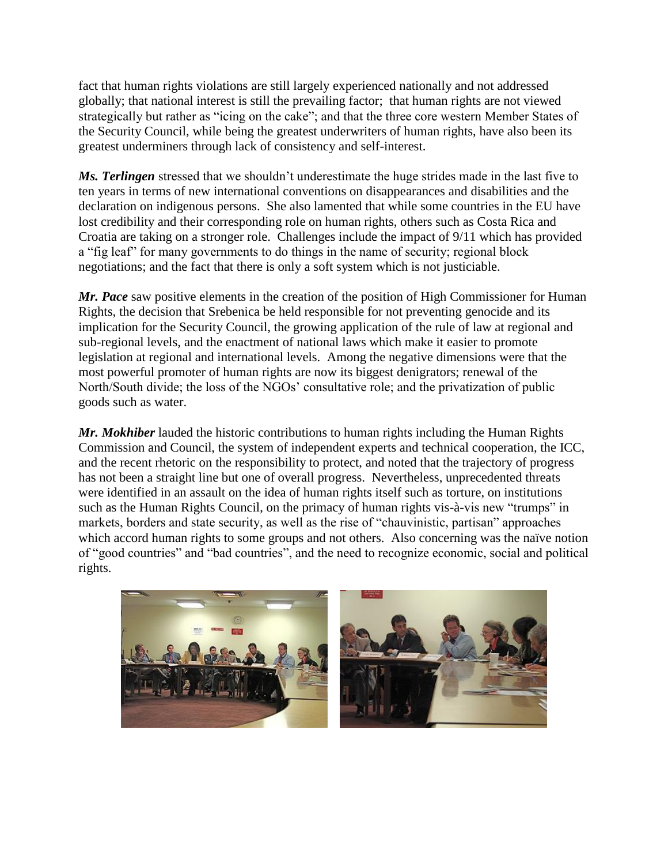fact that human rights violations are still largely experienced nationally and not addressed globally; that national interest is still the prevailing factor; that human rights are not viewed strategically but rather as "icing on the cake"; and that the three core western Member States of the Security Council, while being the greatest underwriters of human rights, have also been its greatest underminers through lack of consistency and self-interest.

*Ms. Terlingen* stressed that we shouldn't underestimate the huge strides made in the last five to ten years in terms of new international conventions on disappearances and disabilities and the declaration on indigenous persons. She also lamented that while some countries in the EU have lost credibility and their corresponding role on human rights, others such as Costa Rica and Croatia are taking on a stronger role. Challenges include the impact of 9/11 which has provided a "fig leaf" for many governments to do things in the name of security; regional block negotiations; and the fact that there is only a soft system which is not justiciable.

*Mr. Pace* saw positive elements in the creation of the position of High Commissioner for Human Rights, the decision that Srebenica be held responsible for not preventing genocide and its implication for the Security Council, the growing application of the rule of law at regional and sub-regional levels, and the enactment of national laws which make it easier to promote legislation at regional and international levels. Among the negative dimensions were that the most powerful promoter of human rights are now its biggest denigrators; renewal of the North/South divide; the loss of the NGOs' consultative role; and the privatization of public goods such as water.

*Mr. Mokhiber* lauded the historic contributions to human rights including the Human Rights Commission and Council, the system of independent experts and technical cooperation, the ICC, and the recent rhetoric on the responsibility to protect, and noted that the trajectory of progress has not been a straight line but one of overall progress. Nevertheless, unprecedented threats were identified in an assault on the idea of human rights itself such as torture, on institutions such as the Human Rights Council, on the primacy of human rights vis-à-vis new "trumps" in markets, borders and state security, as well as the rise of "chauvinistic, partisan" approaches which accord human rights to some groups and not others. Also concerning was the naïve notion of "good countries" and "bad countries", and the need to recognize economic, social and political rights.